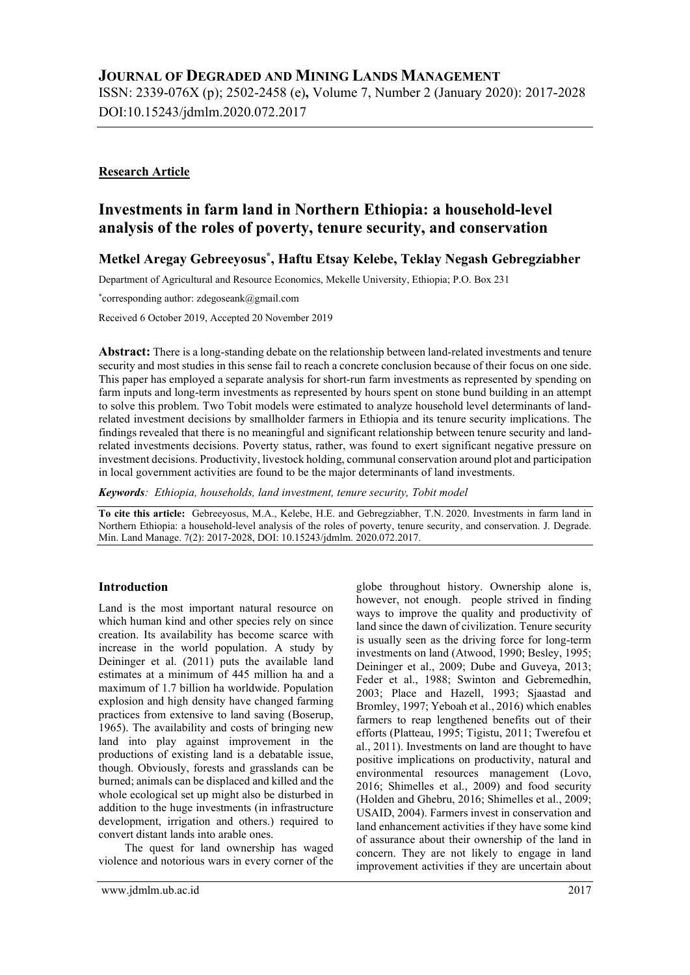ISSN: 2339-076X (p); 2502-2458 (e), Volume 7, Number 2 (January 2020): 2017-2028 DOI:10.15243/jdmlm.2020.072.2017

# Research Article

# Investments in farm land in Northern Ethiopia: a household-level analysis of the roles of poverty, tenure security, and conservation

# Metkel Aregay Gebreeyosus\* , Haftu Etsay Kelebe, Teklay Negash Gebregziabher

Department of Agricultural and Resource Economics, Mekelle University, Ethiopia; P.O. Box 231

\*corresponding author: zdegoseank@gmail.com

Received 6 October 2019, Accepted 20 November 2019

Abstract: There is a long-standing debate on the relationship between land-related investments and tenure security and most studies in this sense fail to reach a concrete conclusion because of their focus on one side. This paper has employed a separate analysis for short-run farm investments as represented by spending on farm inputs and long-term investments as represented by hours spent on stone bund building in an attempt to solve this problem. Two Tobit models were estimated to analyze household level determinants of landrelated investment decisions by smallholder farmers in Ethiopia and its tenure security implications. The findings revealed that there is no meaningful and significant relationship between tenure security and landrelated investments decisions. Poverty status, rather, was found to exert significant negative pressure on investment decisions. Productivity, livestock holding, communal conservation around plot and participation in local government activities are found to be the major determinants of land investments.

Keywords: Ethiopia, households, land investment, tenure security, Tobit model

To cite this article: Gebreeyosus, M.A., Kelebe, H.E. and Gebregziabher, T.N. 2020. Investments in farm land in Northern Ethiopia: a household-level analysis of the roles of poverty, tenure security, and conservation. J. Degrade. Min. Land Manage. 7(2): 2017-2028, DOI: 10.15243/jdmlm. 2020.072.2017.

# Introduction

Land is the most important natural resource on which human kind and other species rely on since creation. Its availability has become scarce with increase in the world population. A study by Deininger et al. (2011) puts the available land estimates at a minimum of 445 million ha and a maximum of 1.7 billion ha worldwide. Population explosion and high density have changed farming practices from extensive to land saving (Boserup, 1965). The availability and costs of bringing new land into play against improvement in the productions of existing land is a debatable issue, though. Obviously, forests and grasslands can be burned; animals can be displaced and killed and the whole ecological set up might also be disturbed in addition to the huge investments (in infrastructure development, irrigation and others.) required to convert distant lands into arable ones.

The quest for land ownership has waged violence and notorious wars in every corner of the globe throughout history. Ownership alone is, however, not enough. people strived in finding ways to improve the quality and productivity of land since the dawn of civilization. Tenure security is usually seen as the driving force for long-term investments on land (Atwood, 1990; Besley, 1995; Deininger et al., 2009; Dube and Guveya, 2013; Feder et al., 1988; Swinton and Gebremedhin, 2003; Place and Hazell, 1993; Sjaastad and Bromley, 1997; Yeboah et al., 2016) which enables farmers to reap lengthened benefits out of their efforts (Platteau, 1995; Tigistu, 2011; Twerefou et al., 2011). Investments on land are thought to have positive implications on productivity, natural and environmental resources management (Lovo, 2016; Shimelles et al., 2009) and food security (Holden and Ghebru, 2016; Shimelles et al., 2009; USAID, 2004). Farmers invest in conservation and land enhancement activities if they have some kind of assurance about their ownership of the land in concern. They are not likely to engage in land improvement activities if they are uncertain about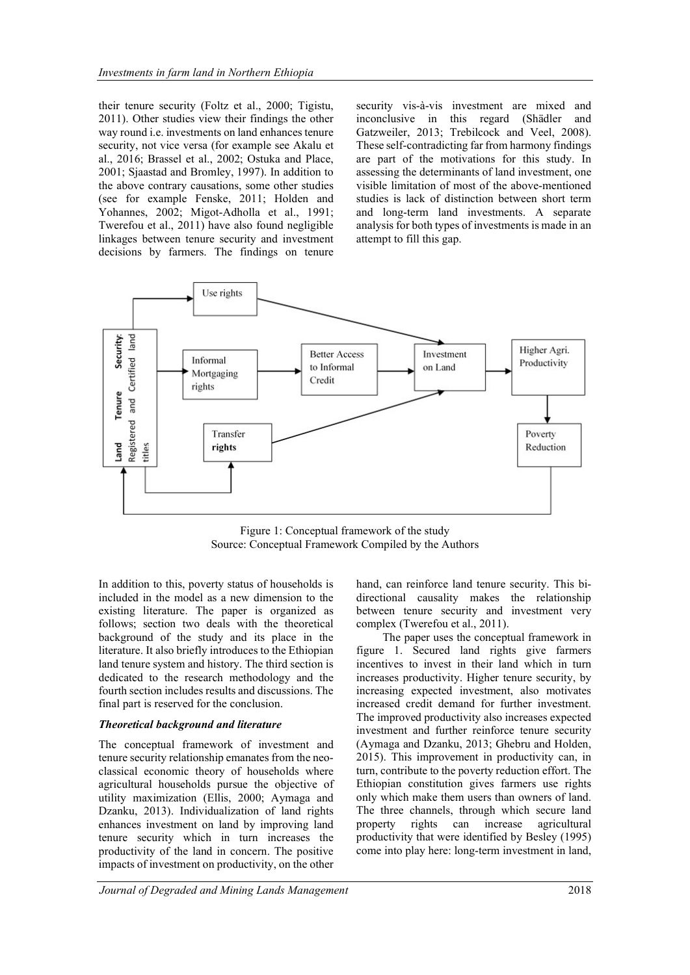their tenure security (Foltz et al., 2000; Tigistu, 2011). Other studies view their findings the other way round i.e. investments on land enhances tenure security, not vice versa (for example see Akalu et al., 2016; Brassel et al., 2002; Ostuka and Place, 2001; Sjaastad and Bromley, 1997). In addition to the above contrary causations, some other studies (see for example Fenske, 2011; Holden and Yohannes, 2002; Migot-Adholla et al., 1991; Twerefou et al., 2011) have also found negligible linkages between tenure security and investment decisions by farmers. The findings on tenure security vis-à-vis investment are mixed and inconclusive in this regard (Shädler and Gatzweiler, 2013; Trebilcock and Veel, 2008). These self-contradicting far from harmony findings are part of the motivations for this study. In assessing the determinants of land investment, one visible limitation of most of the above-mentioned studies is lack of distinction between short term and long-term land investments. A separate analysis for both types of investments is made in an attempt to fill this gap.



Figure 1: Conceptual framework of the study Source: Conceptual Framework Compiled by the Authors

In addition to this, poverty status of households is included in the model as a new dimension to the existing literature. The paper is organized as follows; section two deals with the theoretical background of the study and its place in the literature. It also briefly introduces to the Ethiopian land tenure system and history. The third section is dedicated to the research methodology and the fourth section includes results and discussions. The final part is reserved for the conclusion.

#### Theoretical background and literature

The conceptual framework of investment and tenure security relationship emanates from the neoclassical economic theory of households where agricultural households pursue the objective of utility maximization (Ellis, 2000; Aymaga and Dzanku, 2013). Individualization of land rights enhances investment on land by improving land tenure security which in turn increases the productivity of the land in concern. The positive impacts of investment on productivity, on the other

hand, can reinforce land tenure security. This bidirectional causality makes the relationship between tenure security and investment very complex (Twerefou et al., 2011).

The paper uses the conceptual framework in figure 1. Secured land rights give farmers incentives to invest in their land which in turn increases productivity. Higher tenure security, by increasing expected investment, also motivates increased credit demand for further investment. The improved productivity also increases expected investment and further reinforce tenure security (Aymaga and Dzanku, 2013; Ghebru and Holden, 2015). This improvement in productivity can, in turn, contribute to the poverty reduction effort. The Ethiopian constitution gives farmers use rights only which make them users than owners of land. The three channels, through which secure land property rights can increase agricultural productivity that were identified by Besley (1995) come into play here: long-term investment in land,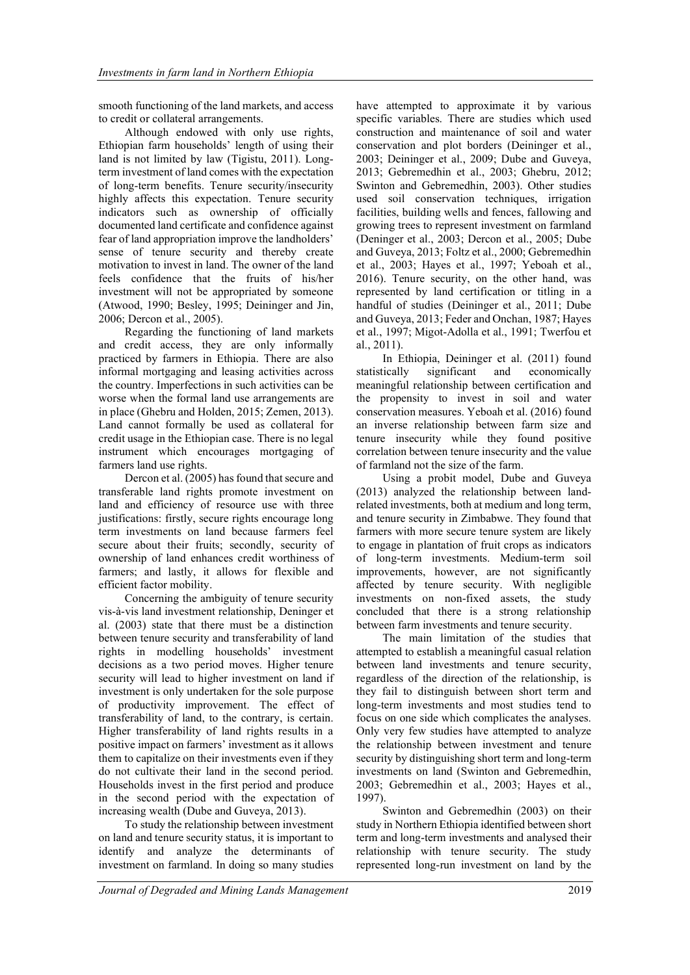smooth functioning of the land markets, and access to credit or collateral arrangements.

Although endowed with only use rights, Ethiopian farm households' length of using their land is not limited by law (Tigistu, 2011). Longterm investment of land comes with the expectation of long-term benefits. Tenure security/insecurity highly affects this expectation. Tenure security indicators such as ownership of officially documented land certificate and confidence against fear of land appropriation improve the landholders' sense of tenure security and thereby create motivation to invest in land. The owner of the land feels confidence that the fruits of his/her investment will not be appropriated by someone (Atwood, 1990; Besley, 1995; Deininger and Jin, 2006; Dercon et al., 2005).

Regarding the functioning of land markets and credit access, they are only informally practiced by farmers in Ethiopia. There are also informal mortgaging and leasing activities across the country. Imperfections in such activities can be worse when the formal land use arrangements are in place (Ghebru and Holden, 2015; Zemen, 2013). Land cannot formally be used as collateral for credit usage in the Ethiopian case. There is no legal instrument which encourages mortgaging of farmers land use rights.

Dercon et al. (2005) has found that secure and transferable land rights promote investment on land and efficiency of resource use with three justifications: firstly, secure rights encourage long term investments on land because farmers feel secure about their fruits; secondly, security of ownership of land enhances credit worthiness of farmers; and lastly, it allows for flexible and efficient factor mobility.

Concerning the ambiguity of tenure security vis-à-vis land investment relationship, Deninger et al. (2003) state that there must be a distinction between tenure security and transferability of land rights in modelling households' investment decisions as a two period moves. Higher tenure security will lead to higher investment on land if investment is only undertaken for the sole purpose of productivity improvement. The effect of transferability of land, to the contrary, is certain. Higher transferability of land rights results in a positive impact on farmers' investment as it allows them to capitalize on their investments even if they do not cultivate their land in the second period. Households invest in the first period and produce in the second period with the expectation of increasing wealth (Dube and Guveya, 2013).

To study the relationship between investment on land and tenure security status, it is important to identify and analyze the determinants of investment on farmland. In doing so many studies

have attempted to approximate it by various specific variables. There are studies which used construction and maintenance of soil and water conservation and plot borders (Deininger et al., 2003; Deininger et al., 2009; Dube and Guveya, 2013; Gebremedhin et al., 2003; Ghebru, 2012; Swinton and Gebremedhin, 2003). Other studies used soil conservation techniques, irrigation facilities, building wells and fences, fallowing and growing trees to represent investment on farmland (Deninger et al., 2003; Dercon et al., 2005; Dube and Guveya, 2013; Foltz et al., 2000; Gebremedhin et al., 2003; Hayes et al., 1997; Yeboah et al., 2016). Tenure security, on the other hand, was represented by land certification or titling in a handful of studies (Deininger et al., 2011; Dube and Guveya, 2013; Feder and Onchan, 1987; Hayes et al., 1997; Migot-Adolla et al., 1991; Twerfou et al., 2011).

In Ethiopia, Deininger et al. (2011) found statistically significant and economically meaningful relationship between certification and the propensity to invest in soil and water conservation measures. Yeboah et al. (2016) found an inverse relationship between farm size and tenure insecurity while they found positive correlation between tenure insecurity and the value of farmland not the size of the farm.

Using a probit model, Dube and Guveya (2013) analyzed the relationship between landrelated investments, both at medium and long term, and tenure security in Zimbabwe. They found that farmers with more secure tenure system are likely to engage in plantation of fruit crops as indicators of long-term investments. Medium-term soil improvements, however, are not significantly affected by tenure security. With negligible investments on non-fixed assets, the study concluded that there is a strong relationship between farm investments and tenure security.

The main limitation of the studies that attempted to establish a meaningful casual relation between land investments and tenure security, regardless of the direction of the relationship, is they fail to distinguish between short term and long-term investments and most studies tend to focus on one side which complicates the analyses. Only very few studies have attempted to analyze the relationship between investment and tenure security by distinguishing short term and long-term investments on land (Swinton and Gebremedhin, 2003; Gebremedhin et al., 2003; Hayes et al., 1997).

Swinton and Gebremedhin (2003) on their study in Northern Ethiopia identified between short term and long-term investments and analysed their relationship with tenure security. The study represented long-run investment on land by the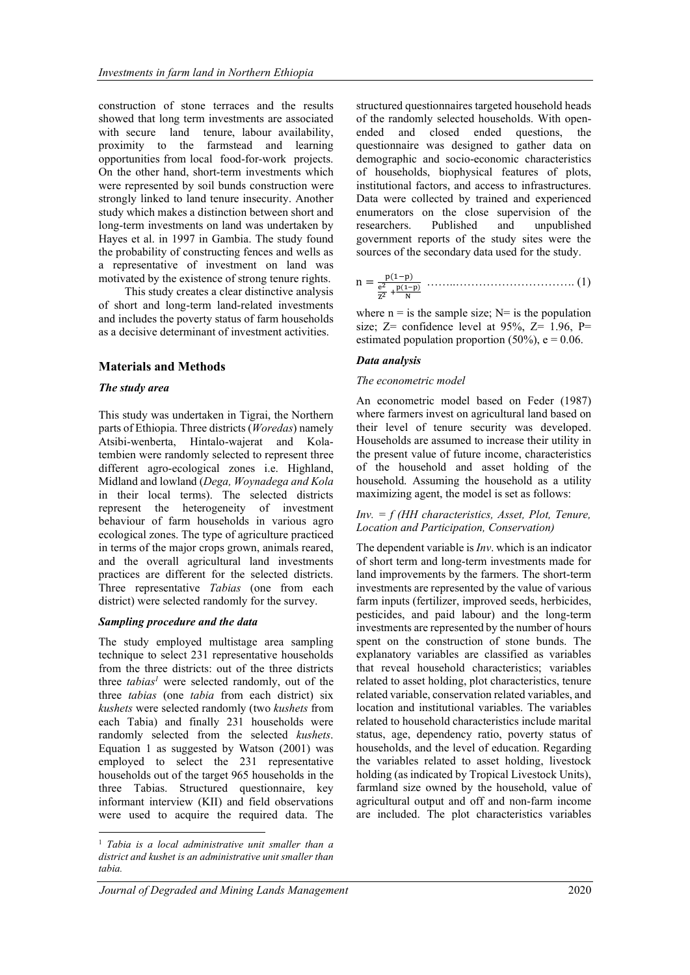construction of stone terraces and the results showed that long term investments are associated with secure land tenure, labour availability, proximity to the farmstead and learning opportunities from local food-for-work projects. On the other hand, short-term investments which were represented by soil bunds construction were strongly linked to land tenure insecurity. Another study which makes a distinction between short and long-term investments on land was undertaken by Hayes et al. in 1997 in Gambia. The study found the probability of constructing fences and wells as a representative of investment on land was motivated by the existence of strong tenure rights.

This study creates a clear distinctive analysis of short and long-term land-related investments and includes the poverty status of farm households as a decisive determinant of investment activities.

#### Materials and Methods

#### The study area

This study was undertaken in Tigrai, the Northern parts of Ethiopia. Three districts (*Woredas*) namely Atsibi-wenberta, Hintalo-wajerat and Kolatembien were randomly selected to represent three different agro-ecological zones i.e. Highland, Midland and lowland (Dega, Woynadega and Kola in their local terms). The selected districts represent the heterogeneity of investment behaviour of farm households in various agro ecological zones. The type of agriculture practiced in terms of the major crops grown, animals reared, and the overall agricultural land investments practices are different for the selected districts. Three representative Tabias (one from each district) were selected randomly for the survey.

#### Sampling procedure and the data

The study employed multistage area sampling technique to select 231 representative households from the three districts: out of the three districts three  $tabias<sup>1</sup>$  were selected randomly, out of the three *tabias* (one *tabia* from each district) six kushets were selected randomly (two kushets from each Tabia) and finally 231 households were randomly selected from the selected kushets. Equation 1 as suggested by Watson (2001) was employed to select the 231 representative households out of the target 965 households in the three Tabias. Structured questionnaire, key informant interview (KII) and field observations were used to acquire the required data. The

structured questionnaires targeted household heads of the randomly selected households. With openended and closed ended questions, the questionnaire was designed to gather data on demographic and socio-economic characteristics of households, biophysical features of plots, institutional factors, and access to infrastructures. Data were collected by trained and experienced enumerators on the close supervision of the researchers. Published and unpublished government reports of the study sites were the sources of the secondary data used for the study.

n = ୮(ଵି୮) మ ౖమ ା ౦(భష౦) ొ ……..…………………………. (1)

where  $n =$  is the sample size;  $N=$  is the population size;  $Z=$  confidence level at 95%,  $Z=$  1.96, P= estimated population proportion (50%),  $e = 0.06$ .

#### Data analysis

#### The econometric model

An econometric model based on Feder (1987) where farmers invest on agricultural land based on their level of tenure security was developed. Households are assumed to increase their utility in the present value of future income, characteristics of the household and asset holding of the household. Assuming the household as a utility maximizing agent, the model is set as follows:

#### $Inv = f (HH characteristic, Asset, Plot, Tenure,$ Location and Participation, Conservation)

The dependent variable is  $Inv$ . which is an indicator of short term and long-term investments made for land improvements by the farmers. The short-term investments are represented by the value of various farm inputs (fertilizer, improved seeds, herbicides, pesticides, and paid labour) and the long-term investments are represented by the number of hours spent on the construction of stone bunds. The explanatory variables are classified as variables that reveal household characteristics; variables related to asset holding, plot characteristics, tenure related variable, conservation related variables, and location and institutional variables. The variables related to household characteristics include marital status, age, dependency ratio, poverty status of households, and the level of education. Regarding the variables related to asset holding, livestock holding (as indicated by Tropical Livestock Units), farmland size owned by the household, value of agricultural output and off and non-farm income are included. The plot characteristics variables

<sup>&</sup>lt;sup>1</sup> Tabia is a local administrative unit smaller than a district and kushet is an administrative unit smaller than tabia.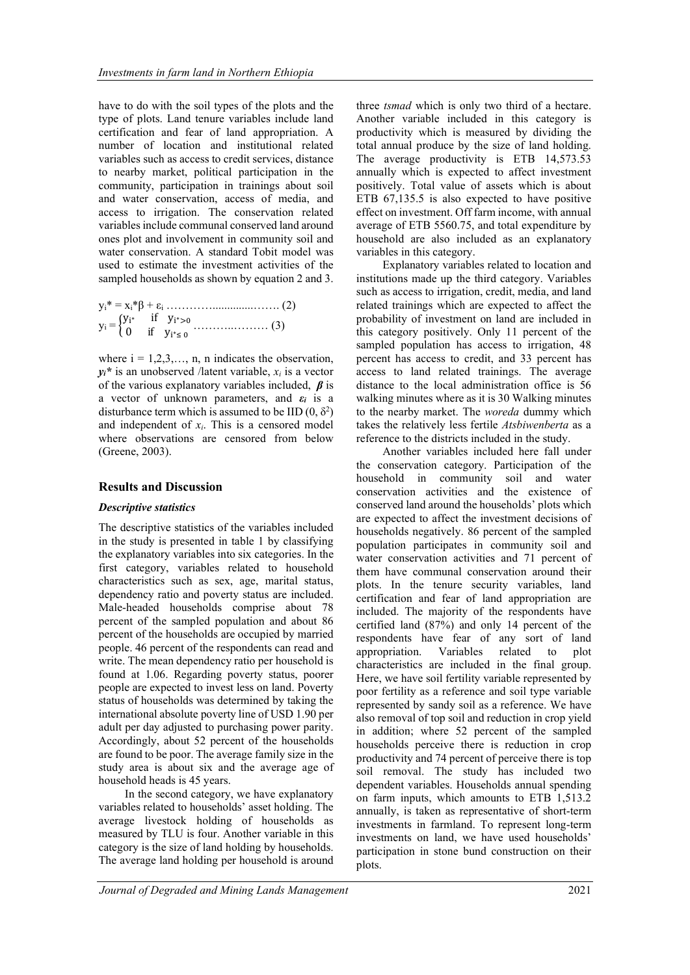have to do with the soil types of the plots and the type of plots. Land tenure variables include land certification and fear of land appropriation. A number of location and institutional related variables such as access to credit services, distance to nearby market, political participation in the community, participation in trainings about soil and water conservation, access of media, and access to irrigation. The conservation related variables include communal conserved land around ones plot and involvement in community soil and water conservation. A standard Tobit model was used to estimate the investment activities of the sampled households as shown by equation 2 and 3.

where  $i = 1, 2, 3, \ldots, n$ , n indicates the observation,  $y_i^*$  is an unobserved /latent variable,  $x_i$  is a vector of the various explanatory variables included,  $\beta$  is a vector of unknown parameters, and  $\varepsilon_i$  is a disturbance term which is assumed to be IID  $(0, \delta^2)$ and independent of  $x_i$ . This is a censored model where observations are censored from below (Greene, 2003).

#### Results and Discussion

#### Descriptive statistics

The descriptive statistics of the variables included in the study is presented in table 1 by classifying the explanatory variables into six categories. In the first category, variables related to household characteristics such as sex, age, marital status, dependency ratio and poverty status are included. Male-headed households comprise about 78 percent of the sampled population and about 86 percent of the households are occupied by married people. 46 percent of the respondents can read and write. The mean dependency ratio per household is found at 1.06. Regarding poverty status, poorer people are expected to invest less on land. Poverty status of households was determined by taking the international absolute poverty line of USD 1.90 per adult per day adjusted to purchasing power parity. Accordingly, about 52 percent of the households are found to be poor. The average family size in the study area is about six and the average age of household heads is 45 years.

In the second category, we have explanatory variables related to households' asset holding. The average livestock holding of households as measured by TLU is four. Another variable in this category is the size of land holding by households. The average land holding per household is around

three *tsmad* which is only two third of a hectare. Another variable included in this category is productivity which is measured by dividing the total annual produce by the size of land holding. The average productivity is ETB 14,573.53 annually which is expected to affect investment positively. Total value of assets which is about ETB 67,135.5 is also expected to have positive effect on investment. Off farm income, with annual average of ETB 5560.75, and total expenditure by household are also included as an explanatory variables in this category.

Explanatory variables related to location and institutions made up the third category. Variables such as access to irrigation, credit, media, and land related trainings which are expected to affect the probability of investment on land are included in this category positively. Only 11 percent of the sampled population has access to irrigation, 48 percent has access to credit, and 33 percent has access to land related trainings. The average distance to the local administration office is 56 walking minutes where as it is 30 Walking minutes to the nearby market. The woreda dummy which takes the relatively less fertile Atsbiwenberta as a reference to the districts included in the study.

Another variables included here fall under the conservation category. Participation of the household in community soil and water conservation activities and the existence of conserved land around the households' plots which are expected to affect the investment decisions of households negatively. 86 percent of the sampled population participates in community soil and water conservation activities and 71 percent of them have communal conservation around their plots. In the tenure security variables, land certification and fear of land appropriation are included. The majority of the respondents have certified land (87%) and only 14 percent of the respondents have fear of any sort of land appropriation. Variables related to plot characteristics are included in the final group. Here, we have soil fertility variable represented by poor fertility as a reference and soil type variable represented by sandy soil as a reference. We have also removal of top soil and reduction in crop yield in addition; where 52 percent of the sampled households perceive there is reduction in crop productivity and 74 percent of perceive there is top soil removal. The study has included two dependent variables. Households annual spending on farm inputs, which amounts to ETB 1,513.2 annually, is taken as representative of short-term investments in farmland. To represent long-term investments on land, we have used households' participation in stone bund construction on their plots.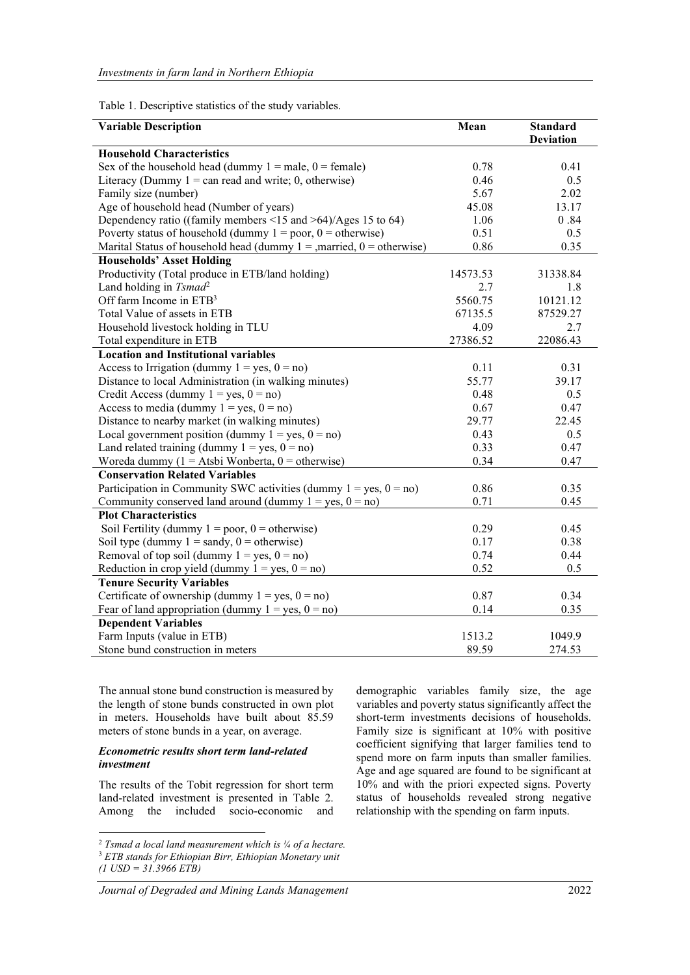Table 1. Descriptive statistics of the study variables.

| <b>Variable Description</b>                                               | Mean     | <b>Standard</b>  |
|---------------------------------------------------------------------------|----------|------------------|
|                                                                           |          | <b>Deviation</b> |
| <b>Household Characteristics</b>                                          |          |                  |
| Sex of the household head (dummy $1 =$ male, $0 =$ female)                | 0.78     | 0.41             |
| Literacy (Dummy $1 = \text{can read}$ and write; 0, otherwise)            | 0.46     | 0.5              |
| Family size (number)                                                      | 5.67     | 2.02             |
| Age of household head (Number of years)                                   | 45.08    | 13.17            |
| Dependency ratio ((family members $\leq$ 15 and $\geq$ 64)/Ages 15 to 64) | 1.06     | 0.84             |
| Poverty status of household (dummy $1 = poor$ , $0 = otherwise$ )         | 0.51     | 0.5              |
| Marital Status of household head (dummy $1 =$ , married, $0 =$ otherwise) | 0.86     | 0.35             |
| <b>Households' Asset Holding</b>                                          |          |                  |
| Productivity (Total produce in ETB/land holding)                          | 14573.53 | 31338.84         |
| Land holding in Tsmad <sup>2</sup>                                        | 2.7      | 1.8              |
| Off farm Income in $ETB3$                                                 | 5560.75  | 10121.12         |
| Total Value of assets in ETB                                              | 67135.5  | 87529.27         |
| Household livestock holding in TLU                                        | 4.09     | 2.7              |
| Total expenditure in ETB                                                  | 27386.52 | 22086.43         |
| <b>Location and Institutional variables</b>                               |          |                  |
| Access to Irrigation (dummy $1 = yes, 0 = no$ )                           | 0.11     | 0.31             |
| Distance to local Administration (in walking minutes)                     | 55.77    | 39.17            |
| Credit Access (dummy $1 = yes$ , $0 = no$ )                               | 0.48     | 0.5              |
| Access to media (dummy $1 = yes$ , $0 = no$ )                             | 0.67     | 0.47             |
| Distance to nearby market (in walking minutes)                            | 29.77    | 22.45            |
| Local government position (dummy $1 = yes$ , $0 = no$ )                   | 0.43     | 0.5              |
| Land related training (dummy $1 = yes, 0 = no$ )                          | 0.33     | 0.47             |
| Woreda dummy ( $1 =$ Atsbi Wonberta, $0 =$ otherwise)                     | 0.34     | 0.47             |
| <b>Conservation Related Variables</b>                                     |          |                  |
| Participation in Community SWC activities (dummy $1 = yes$ , $0 = no$ )   | 0.86     | 0.35             |
| Community conserved land around (dummy $1 = yes$ , $0 = no$ )             | 0.71     | 0.45             |
| <b>Plot Characteristics</b>                                               |          |                  |
| Soil Fertility (dummy $1 = poor$ , $0 = otherwise$ )                      | 0.29     | 0.45             |
| Soil type (dummy $1 =$ sandy, $0 =$ otherwise)                            | 0.17     | 0.38             |
| Removal of top soil (dummy $1 = yes$ , $0 = no$ )                         | 0.74     | 0.44             |
|                                                                           |          |                  |
| Reduction in crop yield (dummy $1 = yes$ , $0 = no$ )                     | 0.52     | 0.5              |
| <b>Tenure Security Variables</b>                                          |          |                  |
| Certificate of ownership (dummy $1 = yes$ , $0 = no$ )                    | 0.87     | 0.34             |
| Fear of land appropriation (dummy $1 = yes$ , $0 = no$ )                  | 0.14     | 0.35             |
| <b>Dependent Variables</b>                                                |          |                  |
| Farm Inputs (value in ETB)                                                | 1513.2   | 1049.9           |
| Stone bund construction in meters                                         | 89.59    | 274.53           |

The annual stone bund construction is measured by the length of stone bunds constructed in own plot in meters. Households have built about 85.59 meters of stone bunds in a year, on average.

#### Econometric results short term land-related investment

The results of the Tobit regression for short term land-related investment is presented in Table 2. Among the included socio-economic and

Journal of Degraded and Mining Lands Management 2022

demographic variables family size, the age variables and poverty status significantly affect the short-term investments decisions of households. Family size is significant at 10% with positive coefficient signifying that larger families tend to spend more on farm inputs than smaller families. Age and age squared are found to be significant at 10% and with the priori expected signs. Poverty status of households revealed strong negative relationship with the spending on farm inputs.

<sup>&</sup>lt;sup>2</sup> Tsmad a local land measurement which is  $\frac{1}{4}$  of a hectare. <sup>3</sup> ETB stands for Ethiopian Birr, Ethiopian Monetary unit  $(1 \text{ USD} = 31.3966 \text{ E} \cdot \text{T} \cdot \text{B})$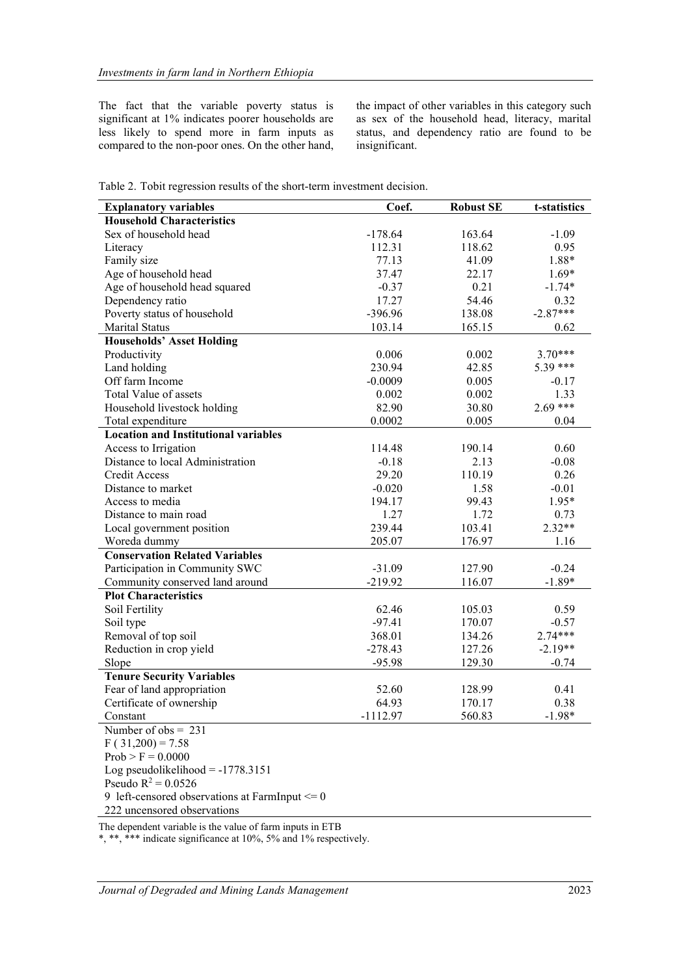The fact that the variable poverty status is significant at 1% indicates poorer households are less likely to spend more in farm inputs as compared to the non-poor ones. On the other hand, the impact of other variables in this category such as sex of the household head, literacy, marital status, and dependency ratio are found to be insignificant.

|  |  |  |  |  |  | Table 2. Tobit regression results of the short-term investment decision. |  |
|--|--|--|--|--|--|--------------------------------------------------------------------------|--|
|--|--|--|--|--|--|--------------------------------------------------------------------------|--|

| <b>Explanatory variables</b>                       | Coef.     | <b>Robust SE</b> | t-statistics     |
|----------------------------------------------------|-----------|------------------|------------------|
| <b>Household Characteristics</b>                   |           |                  |                  |
| Sex of household head                              | $-178.64$ | 163.64           | $-1.09$          |
| Literacy                                           | 112.31    | 118.62           | 0.95             |
| Family size                                        | 77.13     | 41.09            | 1.88*            |
| Age of household head                              | 37.47     | 22.17            | $1.69*$          |
| Age of household head squared                      | $-0.37$   | 0.21             | $-1.74*$         |
| Dependency ratio                                   | 17.27     | 54.46            | 0.32             |
| Poverty status of household                        | $-396.96$ | 138.08           | $-2.87***$       |
| Marital Status                                     | 103.14    | 165.15           | 0.62             |
| <b>Households' Asset Holding</b>                   |           |                  |                  |
| Productivity                                       | 0.006     | 0.002            | $3.70***$        |
| Land holding                                       | 230.94    | 42.85            | 5.39 ***         |
| Off farm Income                                    | $-0.0009$ | 0.005            | $-0.17$          |
| Total Value of assets                              | 0.002     | 0.002            | 1.33             |
| Household livestock holding                        | 82.90     | 30.80            | $2.69***$        |
| Total expenditure                                  | 0.0002    | 0.005            | 0.04             |
| <b>Location and Institutional variables</b>        |           |                  |                  |
| Access to Irrigation                               | 114.48    | 190.14           | 0.60             |
| Distance to local Administration                   | $-0.18$   | 2.13             | $-0.08$          |
| <b>Credit Access</b>                               | 29.20     | 110.19           | 0.26             |
| Distance to market                                 | $-0.020$  | 1.58             |                  |
| Access to media                                    | 194.17    | 99.43            | $-0.01$          |
| Distance to main road                              |           | 1.72             | $1.95*$          |
|                                                    | 1.27      |                  | 0.73<br>$2.32**$ |
| Local government position                          | 239.44    | 103.41           |                  |
| Woreda dummy                                       | 205.07    | 176.97           | 1.16             |
| <b>Conservation Related Variables</b>              |           |                  |                  |
| Participation in Community SWC                     | $-31.09$  | 127.90           | $-0.24$          |
| Community conserved land around                    | $-219.92$ | 116.07           | $-1.89*$         |
| <b>Plot Characteristics</b>                        |           |                  |                  |
| Soil Fertility                                     | 62.46     | 105.03           | 0.59             |
| Soil type                                          | $-97.41$  | 170.07           | $-0.57$          |
| Removal of top soil                                | 368.01    | 134.26           | 2.74***          |
| Reduction in crop yield                            | $-278.43$ | 127.26           | $-2.19**$        |
| Slope                                              | $-95.98$  | 129.30           | $-0.74$          |
| <b>Tenure Security Variables</b>                   |           |                  |                  |
| Fear of land appropriation                         | 52.60     | 128.99           | 0.41             |
| Certificate of ownership                           | 64.93     | 170.17           | 0.38             |
| Constant                                           | 1112.97   | 560.83           | $1.98*$          |
| Number of $obs = 231$                              |           |                  |                  |
| $F(31,200) = 7.58$                                 |           |                  |                  |
| $Prob > F = 0.0000$                                |           |                  |                  |
| Log pseudolikelihood = $-1778.3151$                |           |                  |                  |
| Pseudo $R^2 = 0.0526$                              |           |                  |                  |
| 9 left-censored observations at FarmInput $\leq 0$ |           |                  |                  |
| 222 uncensored observations                        |           |                  |                  |

The dependent variable is the value of farm inputs in ETB

\*, \*\*, \*\*\* indicate significance at 10%, 5% and 1% respectively.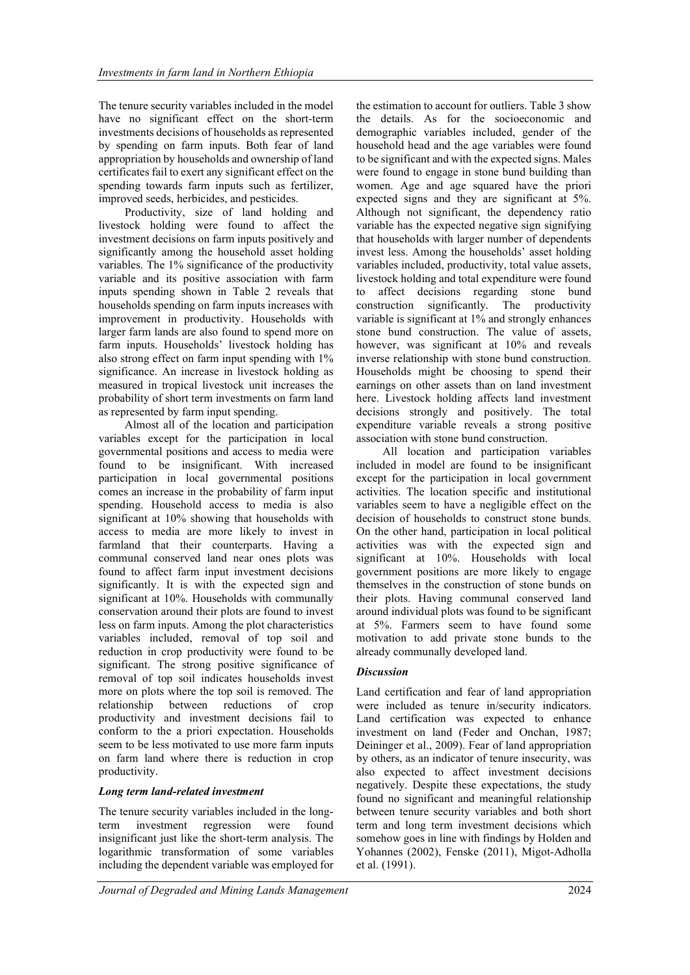The tenure security variables included in the model have no significant effect on the short-term investments decisions of households as represented by spending on farm inputs. Both fear of land appropriation by households and ownership of land certificates fail to exert any significant effect on the spending towards farm inputs such as fertilizer, improved seeds, herbicides, and pesticides.

Productivity, size of land holding and livestock holding were found to affect the investment decisions on farm inputs positively and significantly among the household asset holding variables. The 1% significance of the productivity variable and its positive association with farm inputs spending shown in Table 2 reveals that households spending on farm inputs increases with improvement in productivity. Households with larger farm lands are also found to spend more on farm inputs. Households' livestock holding has also strong effect on farm input spending with 1% significance. An increase in livestock holding as measured in tropical livestock unit increases the probability of short term investments on farm land as represented by farm input spending.

Almost all of the location and participation variables except for the participation in local governmental positions and access to media were found to be insignificant. With increased participation in local governmental positions comes an increase in the probability of farm input spending. Household access to media is also significant at 10% showing that households with access to media are more likely to invest in farmland that their counterparts. Having a communal conserved land near ones plots was found to affect farm input investment decisions significantly. It is with the expected sign and significant at 10%. Households with communally conservation around their plots are found to invest less on farm inputs. Among the plot characteristics variables included, removal of top soil and reduction in crop productivity were found to be significant. The strong positive significance of removal of top soil indicates households invest more on plots where the top soil is removed. The relationship between reductions of crop productivity and investment decisions fail to conform to the a priori expectation. Households seem to be less motivated to use more farm inputs on farm land where there is reduction in crop productivity.

# Long term land-related investment

The tenure security variables included in the longterm investment regression were found insignificant just like the short-term analysis. The logarithmic transformation of some variables including the dependent variable was employed for the estimation to account for outliers. Table 3 show the details. As for the socioeconomic and demographic variables included, gender of the household head and the age variables were found to be significant and with the expected signs. Males were found to engage in stone bund building than women. Age and age squared have the priori expected signs and they are significant at 5%. Although not significant, the dependency ratio variable has the expected negative sign signifying that households with larger number of dependents invest less. Among the households' asset holding variables included, productivity, total value assets, livestock holding and total expenditure were found to affect decisions regarding stone bund construction significantly. The productivity variable is significant at 1% and strongly enhances stone bund construction. The value of assets, however, was significant at 10% and reveals inverse relationship with stone bund construction. Households might be choosing to spend their earnings on other assets than on land investment here. Livestock holding affects land investment decisions strongly and positively. The total expenditure variable reveals a strong positive association with stone bund construction.

All location and participation variables included in model are found to be insignificant except for the participation in local government activities. The location specific and institutional variables seem to have a negligible effect on the decision of households to construct stone bunds. On the other hand, participation in local political activities was with the expected sign and significant at 10%. Households with local government positions are more likely to engage themselves in the construction of stone bunds on their plots. Having communal conserved land around individual plots was found to be significant at 5%. Farmers seem to have found some motivation to add private stone bunds to the already communally developed land.

#### **Discussion**

Land certification and fear of land appropriation were included as tenure in/security indicators. Land certification was expected to enhance investment on land (Feder and Onchan, 1987; Deininger et al., 2009). Fear of land appropriation by others, as an indicator of tenure insecurity, was also expected to affect investment decisions negatively. Despite these expectations, the study found no significant and meaningful relationship between tenure security variables and both short term and long term investment decisions which somehow goes in line with findings by Holden and Yohannes (2002), Fenske (2011), Migot-Adholla et al. (1991).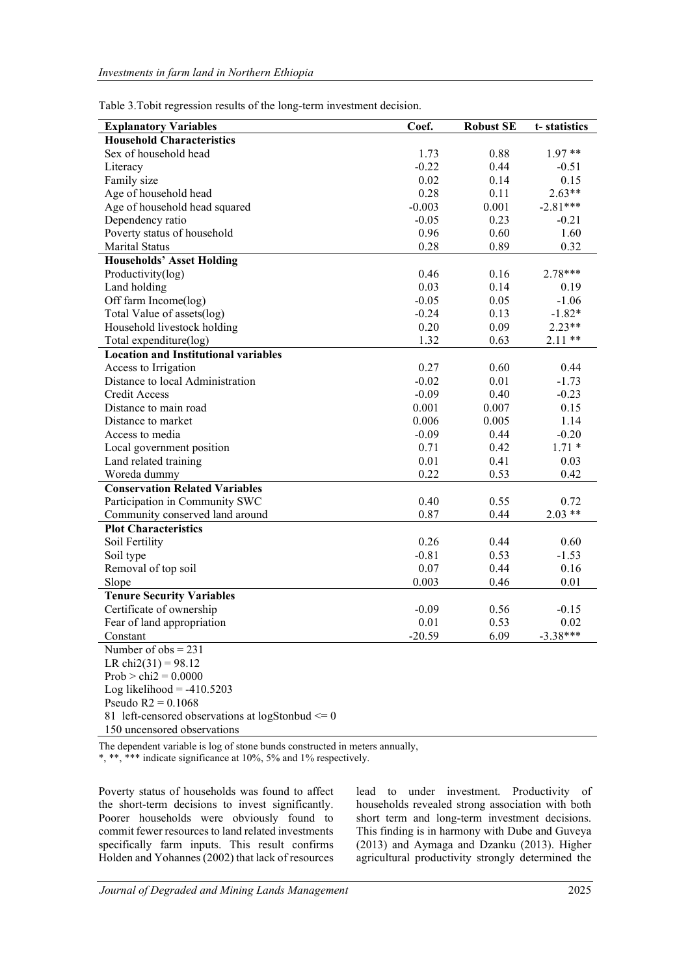| <b>Explanatory Variables</b>                | Coef.    | <b>Robust SE</b> | t-statistics |
|---------------------------------------------|----------|------------------|--------------|
| <b>Household Characteristics</b>            |          |                  |              |
| Sex of household head                       | 1.73     | 0.88             | $1.97**$     |
| Literacy                                    | $-0.22$  | 0.44             | $-0.51$      |
| Family size                                 | 0.02     | 0.14             | 0.15         |
| Age of household head                       | 0.28     | 0.11             | $2.63**$     |
| Age of household head squared               | $-0.003$ | 0.001            | $-2.81***$   |
| Dependency ratio                            | $-0.05$  | 0.23             | $-0.21$      |
| Poverty status of household                 | 0.96     | 0.60             | 1.60         |
| Marital Status                              | 0.28     | 0.89             | 0.32         |
| <b>Households' Asset Holding</b>            |          |                  |              |
| Productivity(log)                           | 0.46     | 0.16             | 2.78***      |
| Land holding                                | 0.03     | 0.14             | 0.19         |
| Off farm Income(log)                        | $-0.05$  | 0.05             | $-1.06$      |
| Total Value of assets(log)                  | $-0.24$  | 0.13             | $-1.82*$     |
| Household livestock holding                 | 0.20     | 0.09             | $2.23**$     |
| Total expenditure(log)                      | 1.32     | 0.63             | $2.11**$     |
| <b>Location and Institutional variables</b> |          |                  |              |
| Access to Irrigation                        | 0.27     | 0.60             | 0.44         |
| Distance to local Administration            | $-0.02$  | 0.01             | $-1.73$      |
| Credit Access                               | $-0.09$  | 0.40             | $-0.23$      |
| Distance to main road                       | 0.001    | 0.007            | 0.15         |
| Distance to market                          | 0.006    | 0.005            | 1.14         |
| Access to media                             | $-0.09$  | 0.44             | $-0.20$      |
| Local government position                   | 0.71     | 0.42             | $1.71 *$     |
| Land related training                       | 0.01     | 0.41             | 0.03         |
| Woreda dummy                                | 0.22     | 0.53             | 0.42         |
| <b>Conservation Related Variables</b>       |          |                  |              |
| Participation in Community SWC              | 0.40     | 0.55             | 0.72         |
| Community conserved land around             | 0.87     | 0.44             | $2.03**$     |
| <b>Plot Characteristics</b>                 |          |                  |              |
| Soil Fertility                              | 0.26     | 0.44             | 0.60         |
| Soil type                                   | $-0.81$  | 0.53             | $-1.53$      |
| Removal of top soil                         | 0.07     | 0.44             | 0.16         |
| Slope                                       | 0.003    | 0.46             | 0.01         |
| <b>Tenure Security Variables</b>            |          |                  |              |
| Certificate of ownership                    | $-0.09$  | 0.56             | $-0.15$      |
| Fear of land appropriation                  | 0.01     | 0.53             | 0.02         |
| Constant                                    | $-20.59$ | 6.09             | $-3.38***$   |
| Number of $obs = 231$                       |          |                  |              |
| LR chi2(31) = 98.12                         |          |                  |              |

Table 3.Tobit regression results of the long-term investment decision.

150 uncensored observations

81 left-censored observations at logStonbud  $\leq 0$ 

 $Prob > chi2 = 0.0000$ Log likelihood  $= -410.5203$ Pseudo R2 = 0.1068

The dependent variable is log of stone bunds constructed in meters annually,

\*, \*\*\* indicate significance at 10%, 5% and 1% respectively.

Poverty status of households was found to affect the short-term decisions to invest significantly. Poorer households were obviously found to commit fewer resources to land related investments specifically farm inputs. This result confirms Holden and Yohannes (2002) that lack of resources lead to under investment. Productivity of households revealed strong association with both short term and long-term investment decisions. This finding is in harmony with Dube and Guveya (2013) and Aymaga and Dzanku (2013). Higher agricultural productivity strongly determined the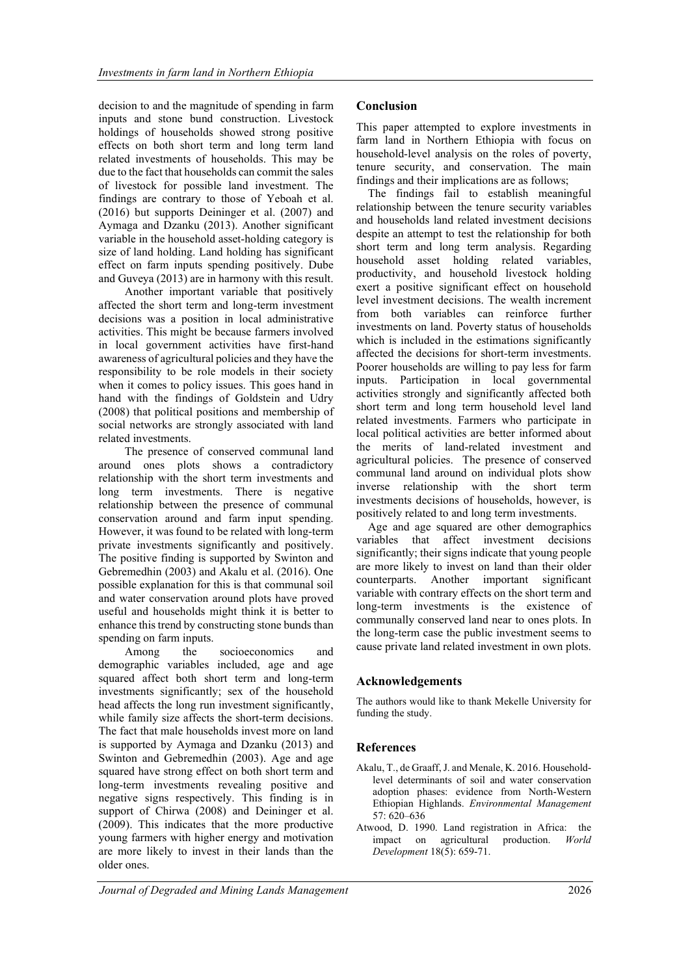decision to and the magnitude of spending in farm inputs and stone bund construction. Livestock holdings of households showed strong positive effects on both short term and long term land related investments of households. This may be due to the fact that households can commit the sales of livestock for possible land investment. The findings are contrary to those of Yeboah et al. (2016) but supports Deininger et al. (2007) and Aymaga and Dzanku (2013). Another significant variable in the household asset-holding category is size of land holding. Land holding has significant effect on farm inputs spending positively. Dube and Guveya (2013) are in harmony with this result.

Another important variable that positively affected the short term and long-term investment decisions was a position in local administrative activities. This might be because farmers involved in local government activities have first-hand awareness of agricultural policies and they have the responsibility to be role models in their society when it comes to policy issues. This goes hand in hand with the findings of Goldstein and Udry (2008) that political positions and membership of social networks are strongly associated with land related investments.

The presence of conserved communal land around ones plots shows a contradictory relationship with the short term investments and long term investments. There is negative relationship between the presence of communal conservation around and farm input spending. However, it was found to be related with long-term private investments significantly and positively. The positive finding is supported by Swinton and Gebremedhin (2003) and Akalu et al. (2016). One possible explanation for this is that communal soil and water conservation around plots have proved useful and households might think it is better to enhance this trend by constructing stone bunds than spending on farm inputs.

Among the socioeconomics and demographic variables included, age and age squared affect both short term and long-term investments significantly; sex of the household head affects the long run investment significantly, while family size affects the short-term decisions. The fact that male households invest more on land is supported by Aymaga and Dzanku (2013) and Swinton and Gebremedhin (2003). Age and age squared have strong effect on both short term and long-term investments revealing positive and negative signs respectively. This finding is in support of Chirwa (2008) and Deininger et al. (2009). This indicates that the more productive young farmers with higher energy and motivation are more likely to invest in their lands than the older ones.

# Conclusion

This paper attempted to explore investments in farm land in Northern Ethiopia with focus on household-level analysis on the roles of poverty, tenure security, and conservation. The main findings and their implications are as follows;

The findings fail to establish meaningful relationship between the tenure security variables and households land related investment decisions despite an attempt to test the relationship for both short term and long term analysis. Regarding household asset holding related variables, productivity, and household livestock holding exert a positive significant effect on household level investment decisions. The wealth increment from both variables can reinforce further investments on land. Poverty status of households which is included in the estimations significantly affected the decisions for short-term investments. Poorer households are willing to pay less for farm inputs. Participation in local governmental activities strongly and significantly affected both short term and long term household level land related investments. Farmers who participate in local political activities are better informed about the merits of land-related investment and agricultural policies. The presence of conserved communal land around on individual plots show inverse relationship with the short term investments decisions of households, however, is positively related to and long term investments.

Age and age squared are other demographics variables that affect investment decisions significantly; their signs indicate that young people are more likely to invest on land than their older counterparts. Another important significant variable with contrary effects on the short term and long-term investments is the existence of communally conserved land near to ones plots. In the long-term case the public investment seems to cause private land related investment in own plots.

# Acknowledgements

The authors would like to thank Mekelle University for funding the study.

# References

- Akalu, T., de Graaff, J. and Menale, K. 2016. Householdlevel determinants of soil and water conservation adoption phases: evidence from North-Western Ethiopian Highlands. Environmental Management 57: 620–636
- Atwood, D. 1990. Land registration in Africa: the impact on agricultural production. World Development 18(5): 659-71.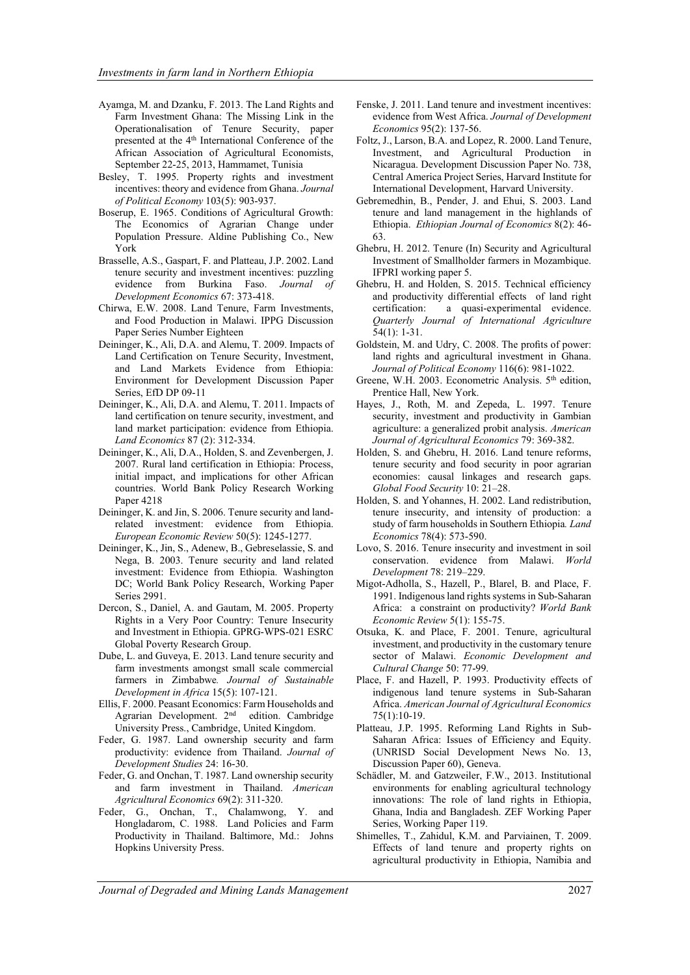- Ayamga, M. and Dzanku, F. 2013. The Land Rights and Farm Investment Ghana: The Missing Link in the Operationalisation of Tenure Security, paper presented at the 4th International Conference of the African Association of Agricultural Economists, September 22-25, 2013, Hammamet, Tunisia
- Besley, T. 1995. Property rights and investment incentives: theory and evidence from Ghana. Journal of Political Economy 103(5): 903-937.
- Boserup, E. 1965. Conditions of Agricultural Growth: The Economics of Agrarian Change under Population Pressure. Aldine Publishing Co., New York
- Brasselle, A.S., Gaspart, F. and Platteau, J.P. 2002. Land tenure security and investment incentives: puzzling evidence from Burkina Faso. Journal of Development Economics 67: 373-418.
- Chirwa, E.W. 2008. Land Tenure, Farm Investments, and Food Production in Malawi. IPPG Discussion Paper Series Number Eighteen
- Deininger, K., Ali, D.A. and Alemu, T. 2009. Impacts of Land Certification on Tenure Security, Investment, and Land Markets Evidence from Ethiopia: Environment for Development Discussion Paper Series, EfD DP 09-11
- Deininger, K., Ali, D.A. and Alemu, T. 2011. Impacts of land certification on tenure security, investment, and land market participation: evidence from Ethiopia. Land Economics 87 (2): 312-334.
- Deininger, K., Ali, D.A., Holden, S. and Zevenbergen, J. 2007. Rural land certification in Ethiopia: Process, initial impact, and implications for other African countries. World Bank Policy Research Working Paper 4218
- Deininger, K. and Jin, S. 2006. Tenure security and landrelated investment: evidence from Ethiopia. European Economic Review 50(5): 1245-1277.
- Deininger, K., Jin, S., Adenew, B., Gebreselassie, S. and Nega, B. 2003. Tenure security and land related investment: Evidence from Ethiopia. Washington DC; World Bank Policy Research, Working Paper Series 2991.
- Dercon, S., Daniel, A. and Gautam, M. 2005. Property Rights in a Very Poor Country: Tenure Insecurity and Investment in Ethiopia. GPRG-WPS-021 ESRC Global Poverty Research Group.
- Dube, L. and Guveya, E. 2013. Land tenure security and farm investments amongst small scale commercial farmers in Zimbabwe. Journal of Sustainable Development in Africa 15(5): 107-121.
- Ellis, F. 2000. Peasant Economics: Farm Households and Agrarian Development. 2nd edition. Cambridge University Press., Cambridge, United Kingdom.
- Feder, G. 1987. Land ownership security and farm productivity: evidence from Thailand. Journal of Development Studies 24: 16-30.
- Feder, G. and Onchan, T. 1987. Land ownership security and farm investment in Thailand. American Agricultural Economics 69(2): 311-320.
- Feder, G., Onchan, T., Chalamwong, Y. and Hongladarom, C. 1988. Land Policies and Farm Productivity in Thailand. Baltimore, Md.: Johns Hopkins University Press.
- Fenske, J. 2011. Land tenure and investment incentives: evidence from West Africa. Journal of Development Economics 95(2): 137-56.
- Foltz, J., Larson, B.A. and Lopez, R. 2000. Land Tenure, Investment, and Agricultural Production in Nicaragua. Development Discussion Paper No. 738, Central America Project Series, Harvard Institute for International Development, Harvard University.
- Gebremedhin, B., Pender, J. and Ehui, S. 2003. Land tenure and land management in the highlands of Ethiopia. Ethiopian Journal of Economics 8(2): 46- 63.
- Ghebru, H. 2012. Tenure (In) Security and Agricultural Investment of Smallholder farmers in Mozambique. IFPRI working paper 5.
- Ghebru, H. and Holden, S. 2015. Technical efficiency and productivity differential effects of land right certification: a quasi-experimental evidence. Quarterly Journal of International Agriculture 54(1): 1-31.
- Goldstein, M. and Udry, C. 2008. The profits of power: land rights and agricultural investment in Ghana. Journal of Political Economy 116(6): 981-1022.
- Greene, W.H. 2003. Econometric Analysis. 5<sup>th</sup> edition, Prentice Hall, New York.
- Hayes, J., Roth, M. and Zepeda, L. 1997. Tenure security, investment and productivity in Gambian agriculture: a generalized probit analysis. American Journal of Agricultural Economics 79: 369-382.
- Holden, S. and Ghebru, H. 2016. Land tenure reforms, tenure security and food security in poor agrarian economies: causal linkages and research gaps. Global Food Security 10: 21–28.
- Holden, S. and Yohannes, H. 2002. Land redistribution, tenure insecurity, and intensity of production: a study of farm households in Southern Ethiopia. Land Economics 78(4): 573-590.
- Lovo, S. 2016. Tenure insecurity and investment in soil conservation. evidence from Malawi. World Development 78: 219–229.
- Migot-Adholla, S., Hazell, P., Blarel, B. and Place, F. 1991. Indigenous land rights systems in Sub-Saharan Africa: a constraint on productivity? World Bank Economic Review 5(1): 155-75.
- Otsuka, K. and Place, F. 2001. Tenure, agricultural investment, and productivity in the customary tenure sector of Malawi. Economic Development and Cultural Change 50: 77-99.
- Place, F. and Hazell, P. 1993. Productivity effects of indigenous land tenure systems in Sub-Saharan Africa. American Journal of Agricultural Economics 75(1):10-19.
- Platteau, J.P. 1995. Reforming Land Rights in Sub-Saharan Africa: Issues of Efficiency and Equity. (UNRISD Social Development News No. 13, Discussion Paper 60), Geneva.
- Schädler, M. and Gatzweiler, F.W., 2013. Institutional environments for enabling agricultural technology innovations: The role of land rights in Ethiopia, Ghana, India and Bangladesh. ZEF Working Paper Series, Working Paper 119.
- Shimelles, T., Zahidul, K.M. and Parviainen, T. 2009. Effects of land tenure and property rights on agricultural productivity in Ethiopia, Namibia and

Journal of Degraded and Mining Lands Management 2027